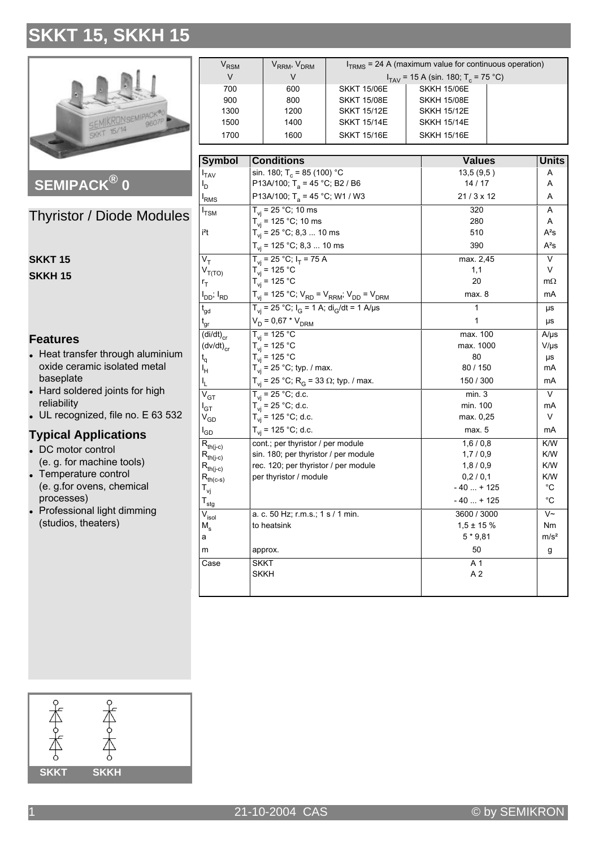

SEMIPACK® 0

**Thyristor / Diode Modules** 

| SKKT 15 |  |
|---------|--|
| SKKH 15 |  |

#### **Features**

- Heat transfer through aluminium oxide ceramic isolated metal baseplate
- Hard soldered joints for high reliability
- $\bullet$  UL recognized, file no. E 63 532

#### **Typical Applications**

- DC motor control (e. g. for machine tools)
- Temperature control (e. g.for ovens, chemical processes)
- Professional light dimming (studios, theaters)

| $\rm V_{RSM}$ | V <sub>RRM</sub> , V <sub>DRM</sub> | $ITRMS$ = 24 A (maximum value for continuous operation) |                    |  |
|---------------|-------------------------------------|---------------------------------------------------------|--------------------|--|
| V             |                                     | $I_{TAV}$ = 15 A (sin. 180; T <sub>c</sub> = 75 °C)     |                    |  |
| 700           | 600                                 | <b>SKKT 15/06E</b>                                      | <b>SKKH 15/06E</b> |  |
| 900           | 800                                 | <b>SKKT 15/08E</b>                                      | <b>SKKH 15/08E</b> |  |
| 1300          | 1200                                | <b>SKKT 15/12E</b>                                      | <b>SKKH 15/12E</b> |  |
| 1500          | 1400                                | <b>SKKT 15/14E</b>                                      | <b>SKKH 15/14E</b> |  |
| 1700          | 1600                                | <b>SKKT 15/16E</b>                                      | <b>SKKH 15/16E</b> |  |

| <b>Symbol</b>                                      | <b>Conditions</b>                                                                                                                                                                                              | <b>Values</b>    | <b>Units</b>     |
|----------------------------------------------------|----------------------------------------------------------------------------------------------------------------------------------------------------------------------------------------------------------------|------------------|------------------|
| $I_{TAV}$                                          | sin. 180; T <sub>c</sub> = 85 (100) °C                                                                                                                                                                         | 13,5 (9,5)       | Α                |
| l <sub>D</sub>                                     | P13A/100; T <sub>a</sub> = 45 °C; B2 / B6                                                                                                                                                                      | 14/17            | A                |
| <b>I</b> <sub>RMS</sub>                            | P13A/100; T <sub>a</sub> = 45 °C; W1 / W3                                                                                                                                                                      | $21/3 \times 12$ | A                |
| $I_{\text{TSM}}$                                   | $T_{vi}$ = 25 °C; 10 ms                                                                                                                                                                                        | 320              | A                |
|                                                    | $T_{vi}$ = 125 °C; 10 ms                                                                                                                                                                                       | 280              | A                |
| i <sup>2</sup> t                                   | $T_{vi}$ = 25 °C; 8,3  10 ms                                                                                                                                                                                   | 510              | $A^2S$           |
|                                                    | $T_{vi}$ = 125 °C; 8,3  10 ms                                                                                                                                                                                  | 390              | $A^2S$           |
| $V_T$                                              | $T_{vi}$ = 25 °C; $I_T$ = 75 A                                                                                                                                                                                 | max. 2,45        | V                |
| $V_{T(TO)}$                                        | $T_{vi}$ = 125 °C                                                                                                                                                                                              | 1,1              | V                |
| $r_T$                                              | $T_{vi}$ = 125 °C                                                                                                                                                                                              | 20               | $m\Omega$        |
| I <sub>DD</sub> ; I <sub>RD</sub>                  | $\mathsf{T}_{\mathsf{vj}}$ = 125 °C; $\mathsf{V}_{\mathsf{R}\mathsf{D}}$ = $\mathsf{V}_{\mathsf{R}\mathsf{R}\mathsf{M}}$ ; $\mathsf{V}_{\mathsf{D}\mathsf{D}}$ = $\mathsf{V}_{\mathsf{D}\mathsf{R}\mathsf{M}}$ | max. 8           | mA               |
| $\mathfrak{t}_{\mathsf{qd}}$                       | $T_{vi}$ = 25 °C; $I_G$ = 1 A; $di_G/dt$ = 1 A/µs                                                                                                                                                              | 1                | μs               |
| $t_{gr}$                                           | $V_D = 0.67 * V_{DRM}$                                                                                                                                                                                         | 1                | μs               |
| $\overline{(\mathsf{di}/\mathsf{dt})}_{\text{cr}}$ | $T_{vi}$ = 125 °C                                                                                                                                                                                              | max. 100         | $A/\mu s$        |
| $(dv/dt)_{cr}$                                     | $T_{vi}$ = 125 °C                                                                                                                                                                                              | max. 1000        | $V/\mu s$        |
| $t_{q}$                                            | $T_{vi}$ = 125 °C                                                                                                                                                                                              | 80               | μs               |
| ıH                                                 | $T_{vi}$ = 25 °C; typ. / max.                                                                                                                                                                                  | 80 / 150         | mA               |
| ı.                                                 | $T_{vi}$ = 25 °C; R <sub>G</sub> = 33 Ω; typ. / max.                                                                                                                                                           | 150 / 300        | mA               |
| $\overline{\mathsf{v}}_{\texttt{GT}}$              | $T_{vi}$ = 25 °C; d.c.                                                                                                                                                                                         | min.3            | V                |
| $I_{\mathsf{GT}}$                                  | $T_{vi}$ = 25 °C; d.c.                                                                                                                                                                                         | min. 100         | mA               |
| $\rm V_{GD}$                                       | $T_{vi}$ = 125 °C; d.c.                                                                                                                                                                                        | max. 0,25        | V                |
| $I_{GD}$                                           | $T_{vi}$ = 125 °C; d.c.                                                                                                                                                                                        | max. 5           | mA               |
| $R_{th(j-c)}$                                      | cont.; per thyristor / per module                                                                                                                                                                              | 1,6/0,8          | K/W              |
| $R_{th(j-c)}$                                      | sin. 180; per thyristor / per module                                                                                                                                                                           | 1,7/0,9          | K/W              |
| $R_{th(j-c)}$                                      | rec. 120; per thyristor / per module                                                                                                                                                                           | 1,8/0,9          | K/W              |
| $R_{th(c-s)}$                                      | per thyristor / module                                                                                                                                                                                         | 0,2/0,1          | K/W              |
| T <sub>vj</sub>                                    |                                                                                                                                                                                                                | $-40+125$        | $^{\circ}C$      |
| $\mathsf{T}_{\mathsf{stg}}$                        |                                                                                                                                                                                                                | $-40+125$        | $^{\circ}$ C     |
| $\bar{V}_{\text{isol}}$                            | a. c. 50 Hz; r.m.s.; 1 s / 1 min.                                                                                                                                                                              | 3600 / 3000      | $V\sim$          |
| $M_{\rm s}$                                        | to heatsink                                                                                                                                                                                                    | $1.5 \pm 15$ %   | Nm               |
| a                                                  |                                                                                                                                                                                                                | $5*9,81$         | m/s <sup>2</sup> |
| m                                                  | approx.                                                                                                                                                                                                        | 50               | g                |
| Case                                               | <b>SKKT</b>                                                                                                                                                                                                    | A <sub>1</sub>   |                  |
|                                                    | <b>SKKH</b>                                                                                                                                                                                                    | A <sub>2</sub>   |                  |
|                                                    |                                                                                                                                                                                                                |                  |                  |

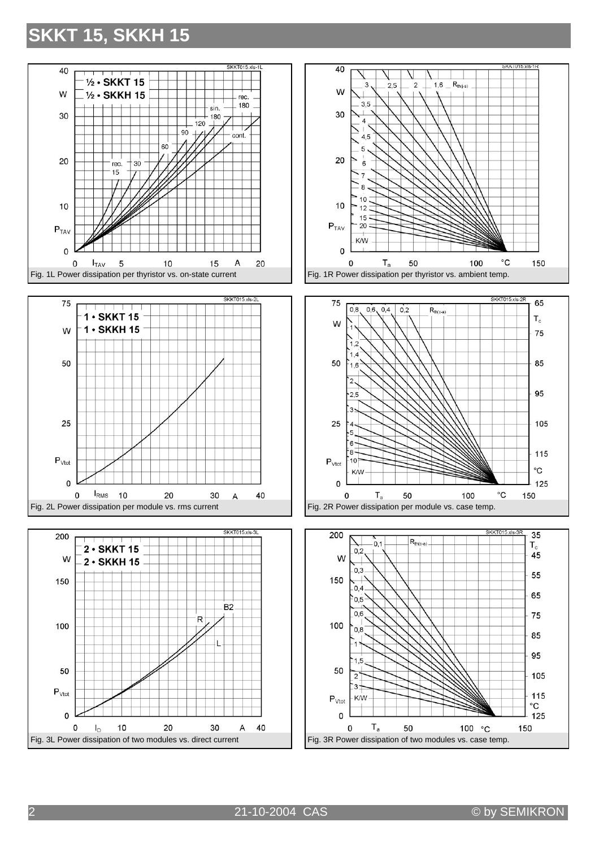











2 21-10-2004 CAS © by SEMIKRON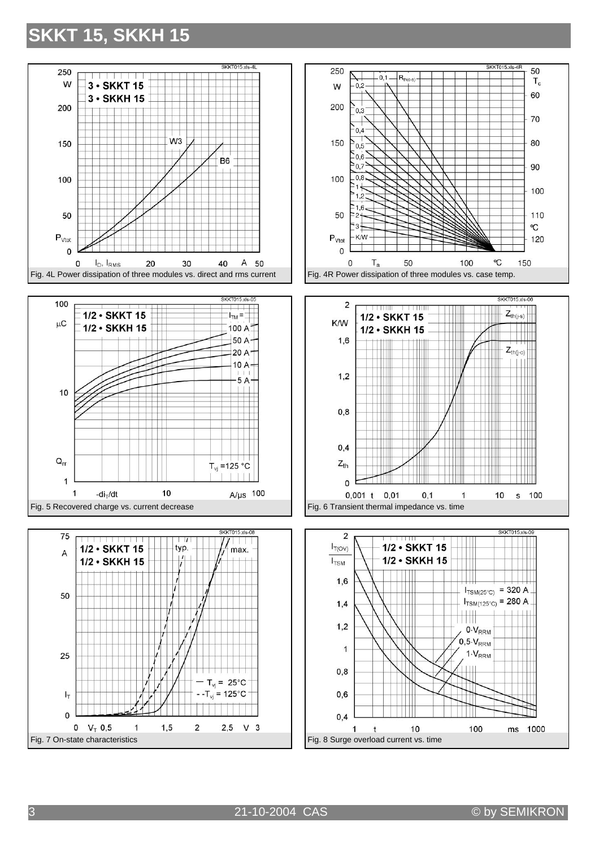











3 21-10-2004 CAS © by SEMIKRON